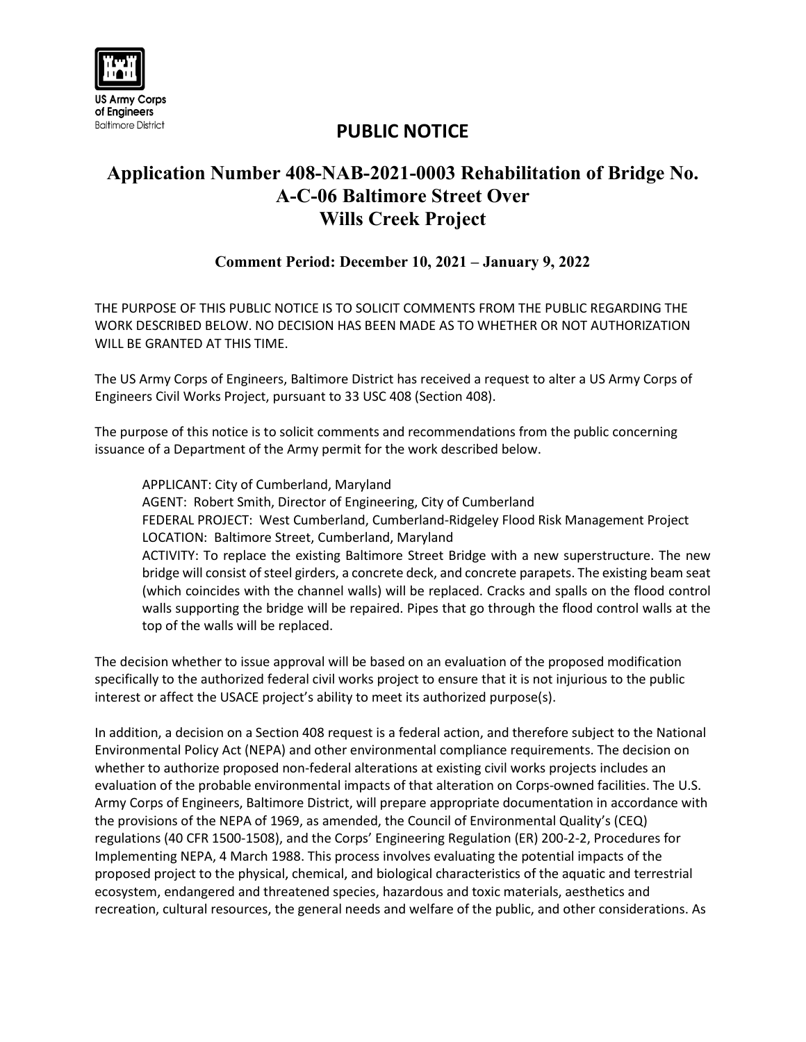

## **PUBLIC NOTICE**

## **Application Number 408-NAB-2021-0003 Rehabilitation of Bridge No. A-C-06 Baltimore Street Over Wills Creek Project**

## **Comment Period: December 10, 2021 – January 9, 2022**

THE PURPOSE OF THIS PUBLIC NOTICE IS TO SOLICIT COMMENTS FROM THE PUBLIC REGARDING THE WORK DESCRIBED BELOW. NO DECISION HAS BEEN MADE AS TO WHETHER OR NOT AUTHORIZATION WILL BE GRANTED AT THIS TIME.

The US Army Corps of Engineers, Baltimore District has received a request to alter a US Army Corps of Engineers Civil Works Project, pursuant to 33 USC 408 (Section 408).

The purpose of this notice is to solicit comments and recommendations from the public concerning issuance of a Department of the Army permit for the work described below.

APPLICANT: City of Cumberland, Maryland AGENT: Robert Smith, Director of Engineering, City of Cumberland FEDERAL PROJECT: West Cumberland, Cumberland-Ridgeley Flood Risk Management Project LOCATION: Baltimore Street, Cumberland, Maryland ACTIVITY: To replace the existing Baltimore Street Bridge with a new superstructure. The new bridge will consist of steel girders, a concrete deck, and concrete parapets. The existing beam seat (which coincides with the channel walls) will be replaced. Cracks and spalls on the flood control walls supporting the bridge will be repaired. Pipes that go through the flood control walls at the top of the walls will be replaced.

The decision whether to issue approval will be based on an evaluation of the proposed modification specifically to the authorized federal civil works project to ensure that it is not injurious to the public interest or affect the USACE project's ability to meet its authorized purpose(s).

In addition, a decision on a Section 408 request is a federal action, and therefore subject to the National Environmental Policy Act (NEPA) and other environmental compliance requirements. The decision on whether to authorize proposed non-federal alterations at existing civil works projects includes an evaluation of the probable environmental impacts of that alteration on Corps-owned facilities. The U.S. Army Corps of Engineers, Baltimore District, will prepare appropriate documentation in accordance with the provisions of the NEPA of 1969, as amended, the Council of Environmental Quality's (CEQ) regulations (40 CFR 1500-1508), and the Corps' Engineering Regulation (ER) 200-2-2, Procedures for Implementing NEPA, 4 March 1988. This process involves evaluating the potential impacts of the proposed project to the physical, chemical, and biological characteristics of the aquatic and terrestrial ecosystem, endangered and threatened species, hazardous and toxic materials, aesthetics and recreation, cultural resources, the general needs and welfare of the public, and other considerations. As